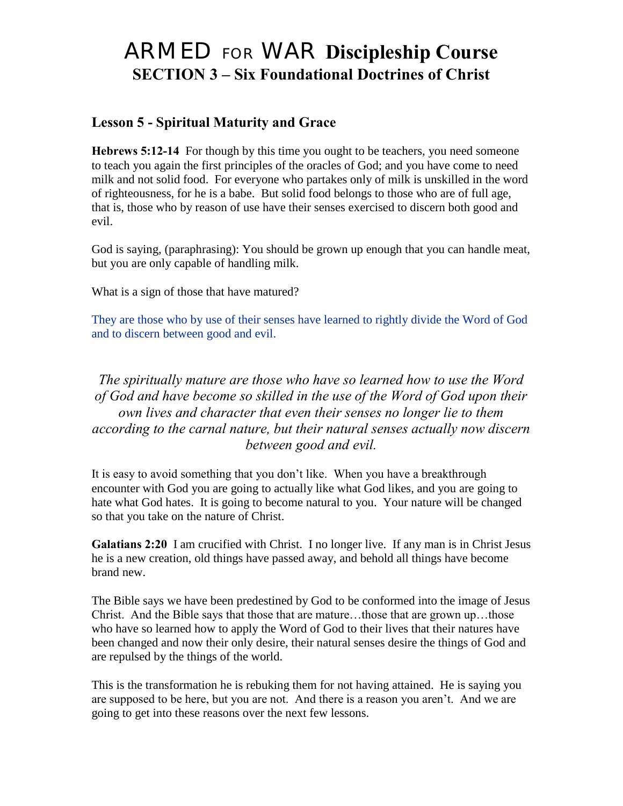# ARMED FOR WAR **Discipleship Course SECTION 3 – Six Foundational Doctrines of Christ**

# **Lesson 5 - Spiritual Maturity and Grace**

**Hebrews 5:12-14** For though by this time you ought to be teachers, you need someone to teach you again the first principles of the oracles of God; and you have come to need milk and not solid food. For everyone who partakes only of milk is unskilled in the word of righteousness, for he is a babe. But solid food belongs to those who are of full age, that is, those who by reason of use have their senses exercised to discern both good and evil.

God is saying, (paraphrasing): You should be grown up enough that you can handle meat, but you are only capable of handling milk.

What is a sign of those that have matured?

They are those who by use of their senses have learned to rightly divide the Word of God and to discern between good and evil.

## *The spiritually mature are those who have so learned how to use the Word of God and have become so skilled in the use of the Word of God upon their own lives and character that even their senses no longer lie to them according to the carnal nature, but their natural senses actually now discern between good and evil.*

It is easy to avoid something that you don"t like. When you have a breakthrough encounter with God you are going to actually like what God likes, and you are going to hate what God hates. It is going to become natural to you. Your nature will be changed so that you take on the nature of Christ.

**Galatians 2:20** I am crucified with Christ. I no longer live. If any man is in Christ Jesus he is a new creation, old things have passed away, and behold all things have become brand new.

The Bible says we have been predestined by God to be conformed into the image of Jesus Christ. And the Bible says that those that are mature…those that are grown up…those who have so learned how to apply the Word of God to their lives that their natures have been changed and now their only desire, their natural senses desire the things of God and are repulsed by the things of the world.

This is the transformation he is rebuking them for not having attained. He is saying you are supposed to be here, but you are not. And there is a reason you aren"t. And we are going to get into these reasons over the next few lessons.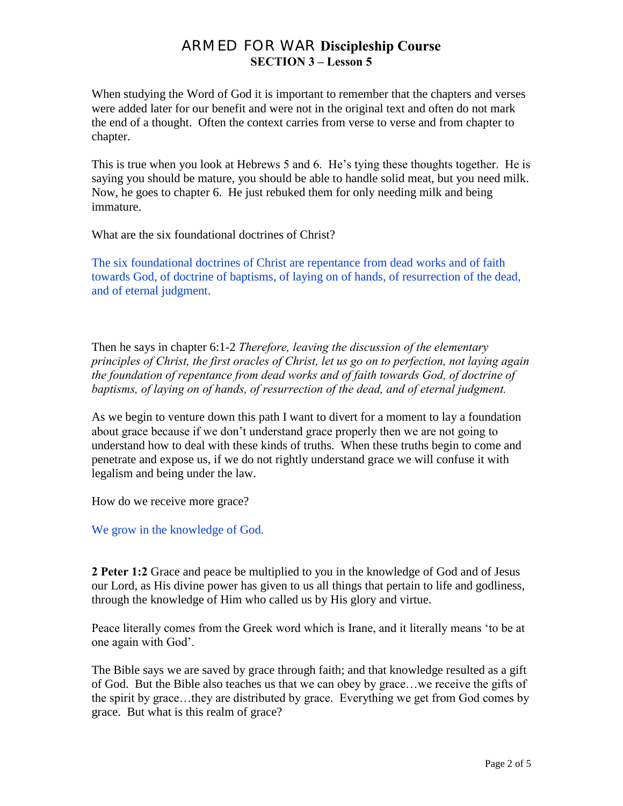When studying the Word of God it is important to remember that the chapters and verses were added later for our benefit and were not in the original text and often do not mark the end of a thought. Often the context carries from verse to verse and from chapter to chapter.

This is true when you look at Hebrews 5 and 6. He"s tying these thoughts together. He is saying you should be mature, you should be able to handle solid meat, but you need milk. Now, he goes to chapter 6. He just rebuked them for only needing milk and being immature.

What are the six foundational doctrines of Christ?

The six foundational doctrines of Christ are repentance from dead works and of faith towards God, of doctrine of baptisms, of laying on of hands, of resurrection of the dead, and of eternal judgment.

Then he says in chapter 6:1-2 *Therefore, leaving the discussion of the elementary principles of Christ, the first oracles of Christ, let us go on to perfection, not laying again the foundation of repentance from dead works and of faith towards God, of doctrine of baptisms, of laying on of hands, of resurrection of the dead, and of eternal judgment.*

As we begin to venture down this path I want to divert for a moment to lay a foundation about grace because if we don"t understand grace properly then we are not going to understand how to deal with these kinds of truths. When these truths begin to come and penetrate and expose us, if we do not rightly understand grace we will confuse it with legalism and being under the law.

How do we receive more grace?

We grow in the knowledge of God.

**2 Peter 1:2** Grace and peace be multiplied to you in the knowledge of God and of Jesus our Lord, as His divine power has given to us all things that pertain to life and godliness, through the knowledge of Him who called us by His glory and virtue.

Peace literally comes from the Greek word which is Irane, and it literally means "to be at one again with God".

The Bible says we are saved by grace through faith; and that knowledge resulted as a gift of God. But the Bible also teaches us that we can obey by grace…we receive the gifts of the spirit by grace…they are distributed by grace. Everything we get from God comes by grace. But what is this realm of grace?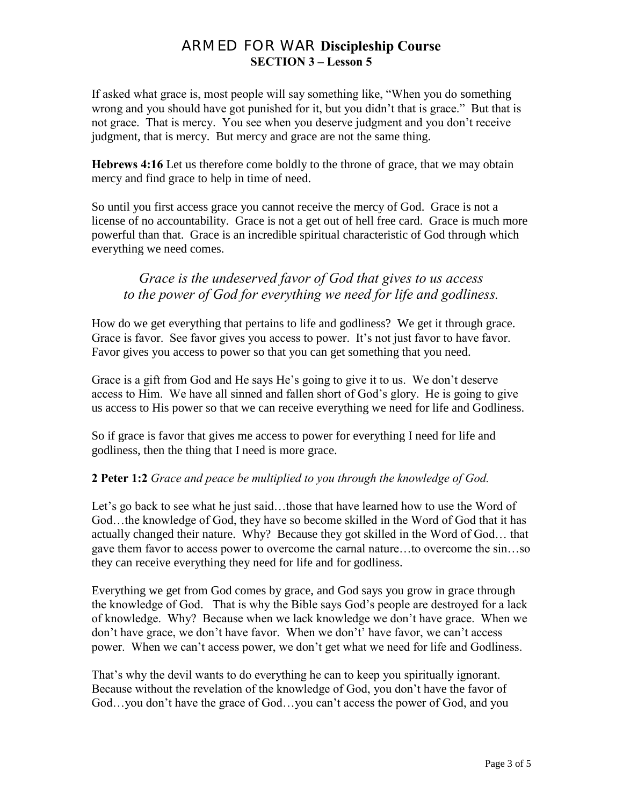If asked what grace is, most people will say something like, "When you do something wrong and you should have got punished for it, but you didn"t that is grace." But that is not grace. That is mercy. You see when you deserve judgment and you don"t receive judgment, that is mercy. But mercy and grace are not the same thing.

**Hebrews 4:16** Let us therefore come boldly to the throne of grace, that we may obtain mercy and find grace to help in time of need.

So until you first access grace you cannot receive the mercy of God. Grace is not a license of no accountability. Grace is not a get out of hell free card. Grace is much more powerful than that. Grace is an incredible spiritual characteristic of God through which everything we need comes.

### *Grace is the undeserved favor of God that gives to us access to the power of God for everything we need for life and godliness.*

How do we get everything that pertains to life and godliness? We get it through grace. Grace is favor. See favor gives you access to power. It's not just favor to have favor. Favor gives you access to power so that you can get something that you need.

Grace is a gift from God and He says He"s going to give it to us. We don"t deserve access to Him. We have all sinned and fallen short of God"s glory. He is going to give us access to His power so that we can receive everything we need for life and Godliness.

So if grace is favor that gives me access to power for everything I need for life and godliness, then the thing that I need is more grace.

#### **2 Peter 1:2** *Grace and peace be multiplied to you through the knowledge of God.*

Let's go back to see what he just said...those that have learned how to use the Word of God…the knowledge of God, they have so become skilled in the Word of God that it has actually changed their nature. Why? Because they got skilled in the Word of God… that gave them favor to access power to overcome the carnal nature…to overcome the sin…so they can receive everything they need for life and for godliness.

Everything we get from God comes by grace, and God says you grow in grace through the knowledge of God. That is why the Bible says God"s people are destroyed for a lack of knowledge. Why? Because when we lack knowledge we don"t have grace. When we don't have grace, we don't have favor. When we don't' have favor, we can't access power. When we can"t access power, we don"t get what we need for life and Godliness.

That's why the devil wants to do everything he can to keep you spiritually ignorant. Because without the revelation of the knowledge of God, you don"t have the favor of God…you don"t have the grace of God…you can"t access the power of God, and you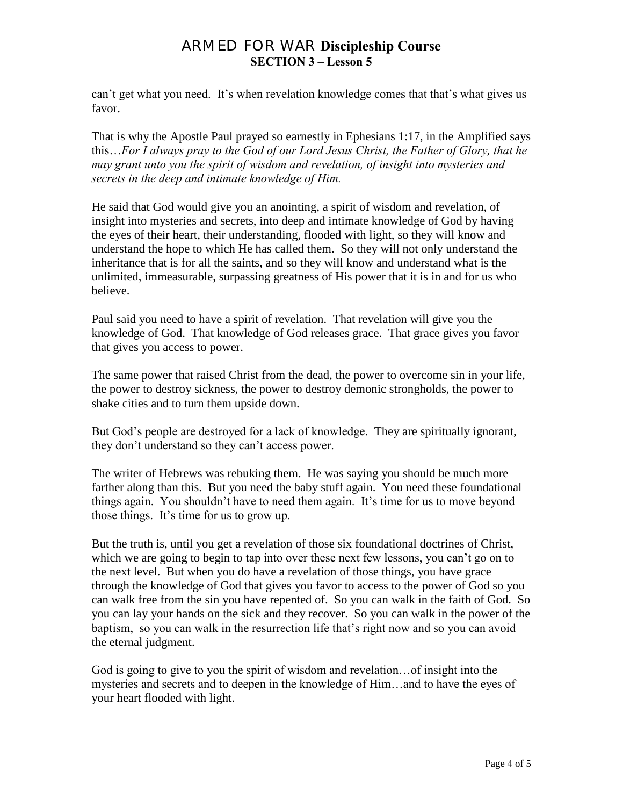can't get what you need. It's when revelation knowledge comes that that's what gives us favor.

That is why the Apostle Paul prayed so earnestly in Ephesians 1:17, in the Amplified says this…*For I always pray to the God of our Lord Jesus Christ, the Father of Glory, that he may grant unto you the spirit of wisdom and revelation, of insight into mysteries and secrets in the deep and intimate knowledge of Him.* 

He said that God would give you an anointing, a spirit of wisdom and revelation, of insight into mysteries and secrets, into deep and intimate knowledge of God by having the eyes of their heart, their understanding, flooded with light, so they will know and understand the hope to which He has called them. So they will not only understand the inheritance that is for all the saints, and so they will know and understand what is the unlimited, immeasurable, surpassing greatness of His power that it is in and for us who believe.

Paul said you need to have a spirit of revelation. That revelation will give you the knowledge of God. That knowledge of God releases grace. That grace gives you favor that gives you access to power.

The same power that raised Christ from the dead, the power to overcome sin in your life, the power to destroy sickness, the power to destroy demonic strongholds, the power to shake cities and to turn them upside down.

But God"s people are destroyed for a lack of knowledge. They are spiritually ignorant, they don"t understand so they can"t access power.

The writer of Hebrews was rebuking them. He was saying you should be much more farther along than this. But you need the baby stuff again. You need these foundational things again. You shouldn"t have to need them again. It"s time for us to move beyond those things. It's time for us to grow up.

But the truth is, until you get a revelation of those six foundational doctrines of Christ, which we are going to begin to tap into over these next few lessons, you can't go on to the next level. But when you do have a revelation of those things, you have grace through the knowledge of God that gives you favor to access to the power of God so you can walk free from the sin you have repented of. So you can walk in the faith of God. So you can lay your hands on the sick and they recover. So you can walk in the power of the baptism, so you can walk in the resurrection life that"s right now and so you can avoid the eternal judgment.

God is going to give to you the spirit of wisdom and revelation…of insight into the mysteries and secrets and to deepen in the knowledge of Him…and to have the eyes of your heart flooded with light.